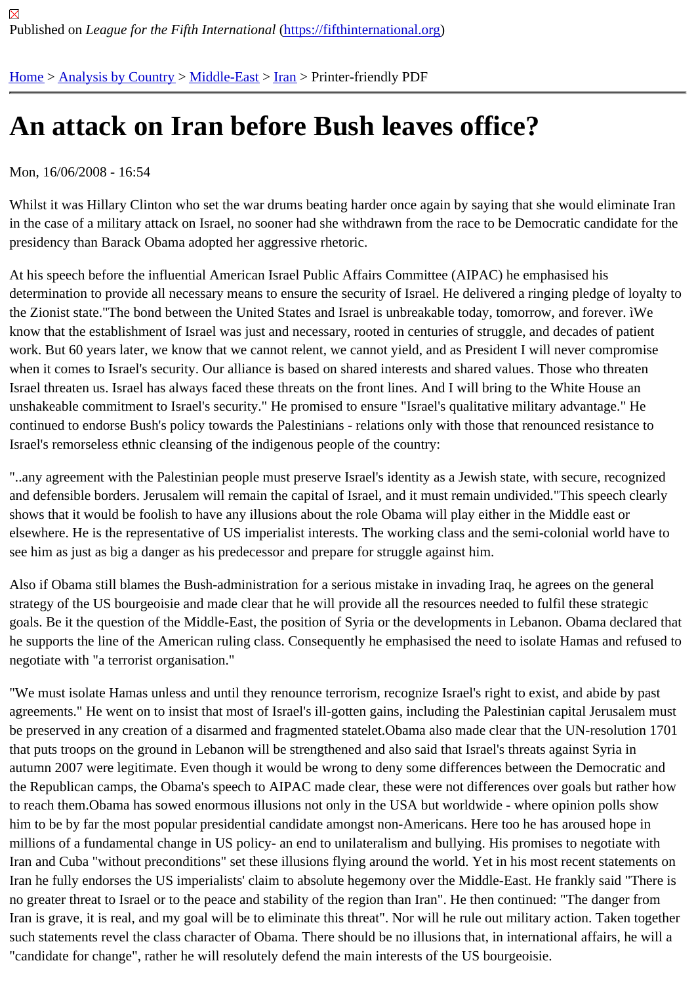# [An](https://fifthinternational.org/) [attack on I](https://fifthinternational.org/category/1)[ran be](https://fifthinternational.org/category/1/178)f[ore](https://fifthinternational.org/category/1/178/182) Bush leaves office?

# Mon, 16/06/2008 - 16:54

Whilst it was Hillary Clinton who set the war drums beating harder once again by saying that she would eliminate I in the case of a military attack on Israel, no sooner had she withdrawn from the race to be Democratic candidate fo presidency than Barack Obama adopted her aggressive rhetoric.

At his speech before the influential American Israel Public Affairs Committee (AIPAC) he emphasised his determination to provide all necessary means to ensure the security of Israel. He delivered a ringing pledge of loya the Zionist state."The bond between the United States and Israel is unbreakable today, tomorrow, and forever. iW know that the establishment of Israel was just and necessary, rooted in centuries of struggle, and decades of patie work. But 60 years later, we know that we cannot relent, we cannot yield, and as President I will never compromis when it comes to Israel's security. Our alliance is based on shared interests and shared values. Those who threate Israel threaten us. Israel has always faced these threats on the front lines. And I will bring to the White House an unshakeable commitment to Israel's security." He promised to ensure "Israel's qualitative military advantage." He continued to endorse Bush's policy towards the Palestinians - relations only with those that renounced resistance t Israel's remorseless ethnic cleansing of the indigenous people of the country:

"..any agreement with the Palestinian people must preserve Israel's identity as a Jewish state, with secure, recogn and defensible borders. Jerusalem will remain the capital of Israel, and it must remain undivided."This speech clea shows that it would be foolish to have any illusions about the role Obama will play either in the Middle east or elsewhere. He is the representative of US imperialist interests. The working class and the semi-colonial world have see him as just as big a danger as his predecessor and prepare for struggle against him.

Also if Obama still blames the Bush-administration for a serious mistake in invading Iraq, he agrees on the general strategy of the US bourgeoisie and made clear that he will provide all the resources needed to fulfil these strategic goals. Be it the question of the Middle-East, the position of Syria or the developments in Lebanon. Obama declare he supports the line of the American ruling class. Consequently he emphasised the need to isolate Hamas and ref negotiate with "a terrorist organisation."

"We must isolate Hamas unless and until they renounce terrorism, recognize Israel's right to exist, and abide by pa agreements." He went on to insist that most of Israel's ill-gotten gains, including the Palestinian capital Jerusalem be preserved in any creation of a disarmed and fragmented statelet. Obama also made clear that the UN-resolution that puts troops on the ground in Lebanon will be strengthened and also said that Israel's threats against Syria in autumn 2007 were legitimate. Even though it would be wrong to deny some differences between the Democratic a the Republican camps, the Obama's speech to AIPAC made clear, these were not differences over goals but rathe to reach them.Obama has sowed enormous illusions not only in the USA but worldwide - where opinion polls show him to be by far the most popular presidential candidate amongst non-Americans. Here too he has aroused hope i millions of a fundamental change in US policy- an end to unilateralism and bullying. His promises to negotiate with Iran and Cuba "without preconditions" set these illusions flying around the world. Yet in his most recent statements Iran he fully endorses the US imperialists' claim to absolute hegemony over the Middle-East. He frankly said "Ther no greater threat to Israel or to the peace and stability of the region than Iran". He then continued: "The danger fro Iran is grave, it is real, and my goal will be to eliminate this threat". Nor will he rule out military action. Taken togeth such statements revel the class character of Obama. There should be no illusions that, in international affairs, he v "candidate for change", rather he will resolutely defend the main interests of the US bourgeoisie.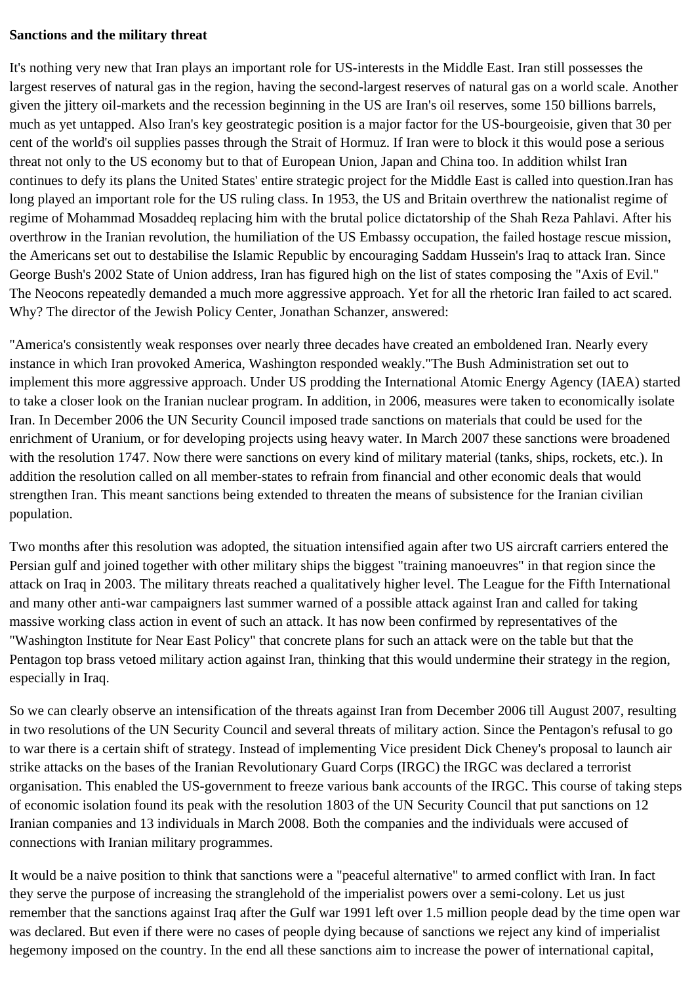#### **Sanctions and the military threat**

It's nothing very new that Iran plays an important role for US-interests in the Middle East. Iran still possesses the largest reserves of natural gas in the region, having the second-largest reserves of natural gas on a world scale. Another given the jittery oil-markets and the recession beginning in the US are Iran's oil reserves, some 150 billions barrels, much as yet untapped. Also Iran's key geostrategic position is a major factor for the US-bourgeoisie, given that 30 per cent of the world's oil supplies passes through the Strait of Hormuz. If Iran were to block it this would pose a serious threat not only to the US economy but to that of European Union, Japan and China too. In addition whilst Iran continues to defy its plans the United States' entire strategic project for the Middle East is called into question.Iran has long played an important role for the US ruling class. In 1953, the US and Britain overthrew the nationalist regime of regime of Mohammad Mosaddeq replacing him with the brutal police dictatorship of the Shah Reza Pahlavi. After his overthrow in the Iranian revolution, the humiliation of the US Embassy occupation, the failed hostage rescue mission, the Americans set out to destabilise the Islamic Republic by encouraging Saddam Hussein's Iraq to attack Iran. Since George Bush's 2002 State of Union address, Iran has figured high on the list of states composing the "Axis of Evil." The Neocons repeatedly demanded a much more aggressive approach. Yet for all the rhetoric Iran failed to act scared. Why? The director of the Jewish Policy Center, Jonathan Schanzer, answered:

"America's consistently weak responses over nearly three decades have created an emboldened Iran. Nearly every instance in which Iran provoked America, Washington responded weakly."The Bush Administration set out to implement this more aggressive approach. Under US prodding the International Atomic Energy Agency (IAEA) started to take a closer look on the Iranian nuclear program. In addition, in 2006, measures were taken to economically isolate Iran. In December 2006 the UN Security Council imposed trade sanctions on materials that could be used for the enrichment of Uranium, or for developing projects using heavy water. In March 2007 these sanctions were broadened with the resolution 1747. Now there were sanctions on every kind of military material (tanks, ships, rockets, etc.). In addition the resolution called on all member-states to refrain from financial and other economic deals that would strengthen Iran. This meant sanctions being extended to threaten the means of subsistence for the Iranian civilian population.

Two months after this resolution was adopted, the situation intensified again after two US aircraft carriers entered the Persian gulf and joined together with other military ships the biggest "training manoeuvres" in that region since the attack on Iraq in 2003. The military threats reached a qualitatively higher level. The League for the Fifth International and many other anti-war campaigners last summer warned of a possible attack against Iran and called for taking massive working class action in event of such an attack. It has now been confirmed by representatives of the "Washington Institute for Near East Policy" that concrete plans for such an attack were on the table but that the Pentagon top brass vetoed military action against Iran, thinking that this would undermine their strategy in the region, especially in Iraq.

So we can clearly observe an intensification of the threats against Iran from December 2006 till August 2007, resulting in two resolutions of the UN Security Council and several threats of military action. Since the Pentagon's refusal to go to war there is a certain shift of strategy. Instead of implementing Vice president Dick Cheney's proposal to launch air strike attacks on the bases of the Iranian Revolutionary Guard Corps (IRGC) the IRGC was declared a terrorist organisation. This enabled the US-government to freeze various bank accounts of the IRGC. This course of taking steps of economic isolation found its peak with the resolution 1803 of the UN Security Council that put sanctions on 12 Iranian companies and 13 individuals in March 2008. Both the companies and the individuals were accused of connections with Iranian military programmes.

It would be a naive position to think that sanctions were a "peaceful alternative" to armed conflict with Iran. In fact they serve the purpose of increasing the stranglehold of the imperialist powers over a semi-colony. Let us just remember that the sanctions against Iraq after the Gulf war 1991 left over 1.5 million people dead by the time open war was declared. But even if there were no cases of people dying because of sanctions we reject any kind of imperialist hegemony imposed on the country. In the end all these sanctions aim to increase the power of international capital,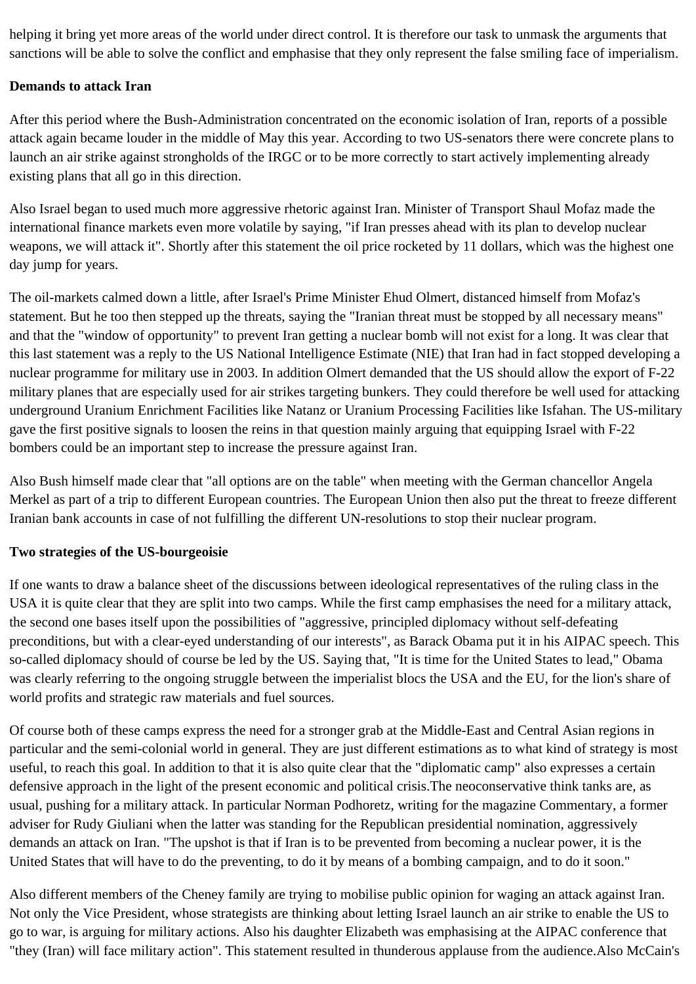helping it bring yet more areas of the world under direct control. It is therefore our task to unmask the arguments that sanctions will be able to solve the conflict and emphasise that they only represent the false smiling face of imperialism.

# **Demands to attack Iran**

After this period where the Bush-Administration concentrated on the economic isolation of Iran, reports of a possible attack again became louder in the middle of May this year. According to two US-senators there were concrete plans to launch an air strike against strongholds of the IRGC or to be more correctly to start actively implementing already existing plans that all go in this direction.

Also Israel began to used much more aggressive rhetoric against Iran. Minister of Transport Shaul Mofaz made the international finance markets even more volatile by saying, "if Iran presses ahead with its plan to develop nuclear weapons, we will attack it". Shortly after this statement the oil price rocketed by 11 dollars, which was the highest one day jump for years.

The oil-markets calmed down a little, after Israel's Prime Minister Ehud Olmert, distanced himself from Mofaz's statement. But he too then stepped up the threats, saying the "Iranian threat must be stopped by all necessary means" and that the "window of opportunity" to prevent Iran getting a nuclear bomb will not exist for a long. It was clear that this last statement was a reply to the US National Intelligence Estimate (NIE) that Iran had in fact stopped developing a nuclear programme for military use in 2003. In addition Olmert demanded that the US should allow the export of F-22 military planes that are especially used for air strikes targeting bunkers. They could therefore be well used for attacking underground Uranium Enrichment Facilities like Natanz or Uranium Processing Facilities like Isfahan. The US-military gave the first positive signals to loosen the reins in that question mainly arguing that equipping Israel with F-22 bombers could be an important step to increase the pressure against Iran.

Also Bush himself made clear that "all options are on the table" when meeting with the German chancellor Angela Merkel as part of a trip to different European countries. The European Union then also put the threat to freeze different Iranian bank accounts in case of not fulfilling the different UN-resolutions to stop their nuclear program.

## **Two strategies of the US-bourgeoisie**

If one wants to draw a balance sheet of the discussions between ideological representatives of the ruling class in the USA it is quite clear that they are split into two camps. While the first camp emphasises the need for a military attack, the second one bases itself upon the possibilities of "aggressive, principled diplomacy without self-defeating preconditions, but with a clear-eyed understanding of our interests", as Barack Obama put it in his AIPAC speech. This so-called diplomacy should of course be led by the US. Saying that, "It is time for the United States to lead," Obama was clearly referring to the ongoing struggle between the imperialist blocs the USA and the EU, for the lion's share of world profits and strategic raw materials and fuel sources.

Of course both of these camps express the need for a stronger grab at the Middle-East and Central Asian regions in particular and the semi-colonial world in general. They are just different estimations as to what kind of strategy is most useful, to reach this goal. In addition to that it is also quite clear that the "diplomatic camp" also expresses a certain defensive approach in the light of the present economic and political crisis.The neoconservative think tanks are, as usual, pushing for a military attack. In particular Norman Podhoretz, writing for the magazine Commentary, a former adviser for Rudy Giuliani when the latter was standing for the Republican presidential nomination, aggressively demands an attack on Iran. "The upshot is that if Iran is to be prevented from becoming a nuclear power, it is the United States that will have to do the preventing, to do it by means of a bombing campaign, and to do it soon."

Also different members of the Cheney family are trying to mobilise public opinion for waging an attack against Iran. Not only the Vice President, whose strategists are thinking about letting Israel launch an air strike to enable the US to go to war, is arguing for military actions. Also his daughter Elizabeth was emphasising at the AIPAC conference that "they (Iran) will face military action". This statement resulted in thunderous applause from the audience.Also McCain's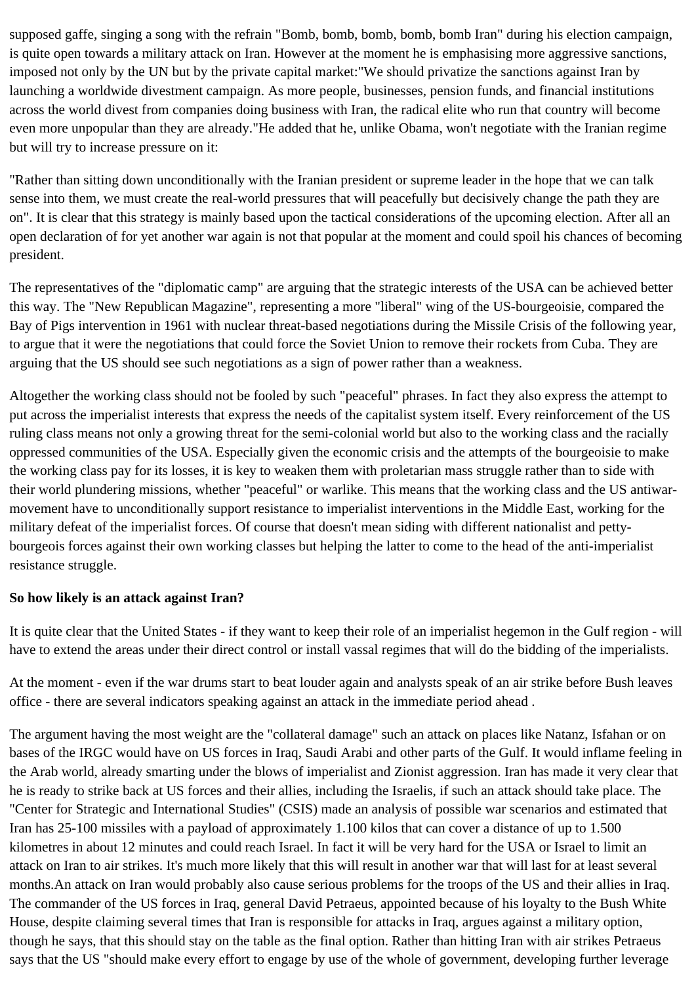supposed gaffe, singing a song with the refrain "Bomb, bomb, bomb, bomb, bomb Iran" during his election campaign, is quite open towards a military attack on Iran. However at the moment he is emphasising more aggressive sanctions, imposed not only by the UN but by the private capital market:"We should privatize the sanctions against Iran by launching a worldwide divestment campaign. As more people, businesses, pension funds, and financial institutions across the world divest from companies doing business with Iran, the radical elite who run that country will become even more unpopular than they are already."He added that he, unlike Obama, won't negotiate with the Iranian regime but will try to increase pressure on it:

"Rather than sitting down unconditionally with the Iranian president or supreme leader in the hope that we can talk sense into them, we must create the real-world pressures that will peacefully but decisively change the path they are on". It is clear that this strategy is mainly based upon the tactical considerations of the upcoming election. After all an open declaration of for yet another war again is not that popular at the moment and could spoil his chances of becoming president.

The representatives of the "diplomatic camp" are arguing that the strategic interests of the USA can be achieved better this way. The "New Republican Magazine", representing a more "liberal" wing of the US-bourgeoisie, compared the Bay of Pigs intervention in 1961 with nuclear threat-based negotiations during the Missile Crisis of the following year, to argue that it were the negotiations that could force the Soviet Union to remove their rockets from Cuba. They are arguing that the US should see such negotiations as a sign of power rather than a weakness.

Altogether the working class should not be fooled by such "peaceful" phrases. In fact they also express the attempt to put across the imperialist interests that express the needs of the capitalist system itself. Every reinforcement of the US ruling class means not only a growing threat for the semi-colonial world but also to the working class and the racially oppressed communities of the USA. Especially given the economic crisis and the attempts of the bourgeoisie to make the working class pay for its losses, it is key to weaken them with proletarian mass struggle rather than to side with their world plundering missions, whether "peaceful" or warlike. This means that the working class and the US antiwarmovement have to unconditionally support resistance to imperialist interventions in the Middle East, working for the military defeat of the imperialist forces. Of course that doesn't mean siding with different nationalist and pettybourgeois forces against their own working classes but helping the latter to come to the head of the anti-imperialist resistance struggle.

## **So how likely is an attack against Iran?**

It is quite clear that the United States - if they want to keep their role of an imperialist hegemon in the Gulf region - will have to extend the areas under their direct control or install vassal regimes that will do the bidding of the imperialists.

At the moment - even if the war drums start to beat louder again and analysts speak of an air strike before Bush leaves office - there are several indicators speaking against an attack in the immediate period ahead .

The argument having the most weight are the "collateral damage" such an attack on places like Natanz, Isfahan or on bases of the IRGC would have on US forces in Iraq, Saudi Arabi and other parts of the Gulf. It would inflame feeling in the Arab world, already smarting under the blows of imperialist and Zionist aggression. Iran has made it very clear that he is ready to strike back at US forces and their allies, including the Israelis, if such an attack should take place. The "Center for Strategic and International Studies" (CSIS) made an analysis of possible war scenarios and estimated that Iran has 25-100 missiles with a payload of approximately 1.100 kilos that can cover a distance of up to 1.500 kilometres in about 12 minutes and could reach Israel. In fact it will be very hard for the USA or Israel to limit an attack on Iran to air strikes. It's much more likely that this will result in another war that will last for at least several months.An attack on Iran would probably also cause serious problems for the troops of the US and their allies in Iraq. The commander of the US forces in Iraq, general David Petraeus, appointed because of his loyalty to the Bush White House, despite claiming several times that Iran is responsible for attacks in Iraq, argues against a military option, though he says, that this should stay on the table as the final option. Rather than hitting Iran with air strikes Petraeus says that the US "should make every effort to engage by use of the whole of government, developing further leverage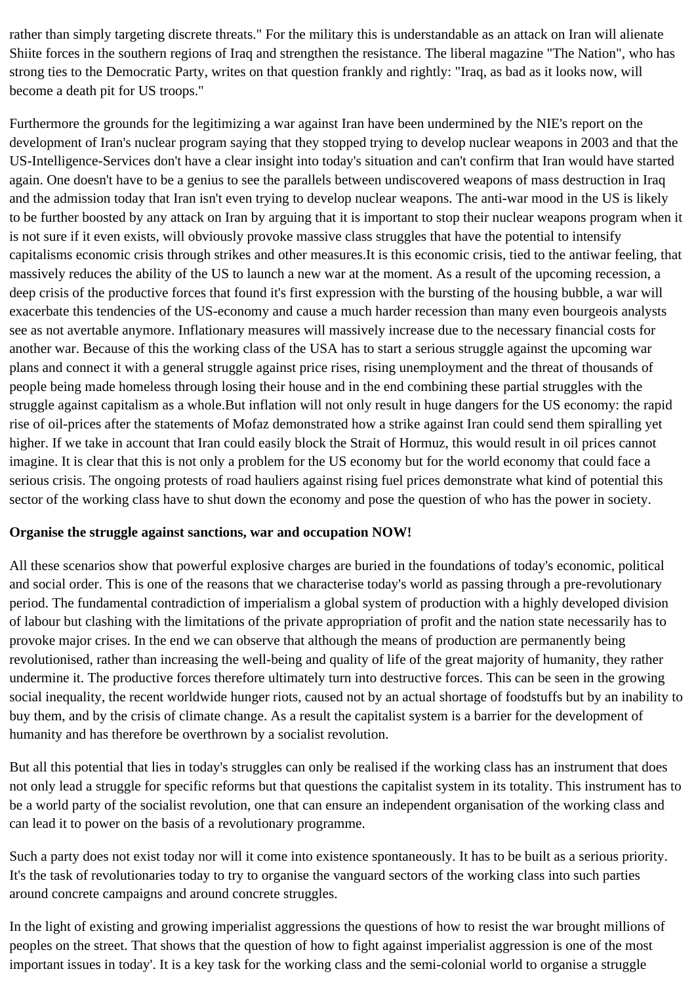rather than simply targeting discrete threats." For the military this is understandable as an attack on Iran will alienate Shiite forces in the southern regions of Iraq and strengthen the resistance. The liberal magazine "The Nation", who has strong ties to the Democratic Party, writes on that question frankly and rightly: "Iraq, as bad as it looks now, will become a death pit for US troops."

Furthermore the grounds for the legitimizing a war against Iran have been undermined by the NIE's report on the development of Iran's nuclear program saying that they stopped trying to develop nuclear weapons in 2003 and that the US-Intelligence-Services don't have a clear insight into today's situation and can't confirm that Iran would have started again. One doesn't have to be a genius to see the parallels between undiscovered weapons of mass destruction in Iraq and the admission today that Iran isn't even trying to develop nuclear weapons. The anti-war mood in the US is likely to be further boosted by any attack on Iran by arguing that it is important to stop their nuclear weapons program when it is not sure if it even exists, will obviously provoke massive class struggles that have the potential to intensify capitalisms economic crisis through strikes and other measures.It is this economic crisis, tied to the antiwar feeling, that massively reduces the ability of the US to launch a new war at the moment. As a result of the upcoming recession, a deep crisis of the productive forces that found it's first expression with the bursting of the housing bubble, a war will exacerbate this tendencies of the US-economy and cause a much harder recession than many even bourgeois analysts see as not avertable anymore. Inflationary measures will massively increase due to the necessary financial costs for another war. Because of this the working class of the USA has to start a serious struggle against the upcoming war plans and connect it with a general struggle against price rises, rising unemployment and the threat of thousands of people being made homeless through losing their house and in the end combining these partial struggles with the struggle against capitalism as a whole.But inflation will not only result in huge dangers for the US economy: the rapid rise of oil-prices after the statements of Mofaz demonstrated how a strike against Iran could send them spiralling yet higher. If we take in account that Iran could easily block the Strait of Hormuz, this would result in oil prices cannot imagine. It is clear that this is not only a problem for the US economy but for the world economy that could face a serious crisis. The ongoing protests of road hauliers against rising fuel prices demonstrate what kind of potential this sector of the working class have to shut down the economy and pose the question of who has the power in society.

## **Organise the struggle against sanctions, war and occupation NOW!**

All these scenarios show that powerful explosive charges are buried in the foundations of today's economic, political and social order. This is one of the reasons that we characterise today's world as passing through a pre-revolutionary period. The fundamental contradiction of imperialism a global system of production with a highly developed division of labour but clashing with the limitations of the private appropriation of profit and the nation state necessarily has to provoke major crises. In the end we can observe that although the means of production are permanently being revolutionised, rather than increasing the well-being and quality of life of the great majority of humanity, they rather undermine it. The productive forces therefore ultimately turn into destructive forces. This can be seen in the growing social inequality, the recent worldwide hunger riots, caused not by an actual shortage of foodstuffs but by an inability to buy them, and by the crisis of climate change. As a result the capitalist system is a barrier for the development of humanity and has therefore be overthrown by a socialist revolution.

But all this potential that lies in today's struggles can only be realised if the working class has an instrument that does not only lead a struggle for specific reforms but that questions the capitalist system in its totality. This instrument has to be a world party of the socialist revolution, one that can ensure an independent organisation of the working class and can lead it to power on the basis of a revolutionary programme.

Such a party does not exist today nor will it come into existence spontaneously. It has to be built as a serious priority. It's the task of revolutionaries today to try to organise the vanguard sectors of the working class into such parties around concrete campaigns and around concrete struggles.

In the light of existing and growing imperialist aggressions the questions of how to resist the war brought millions of peoples on the street. That shows that the question of how to fight against imperialist aggression is one of the most important issues in today'. It is a key task for the working class and the semi-colonial world to organise a struggle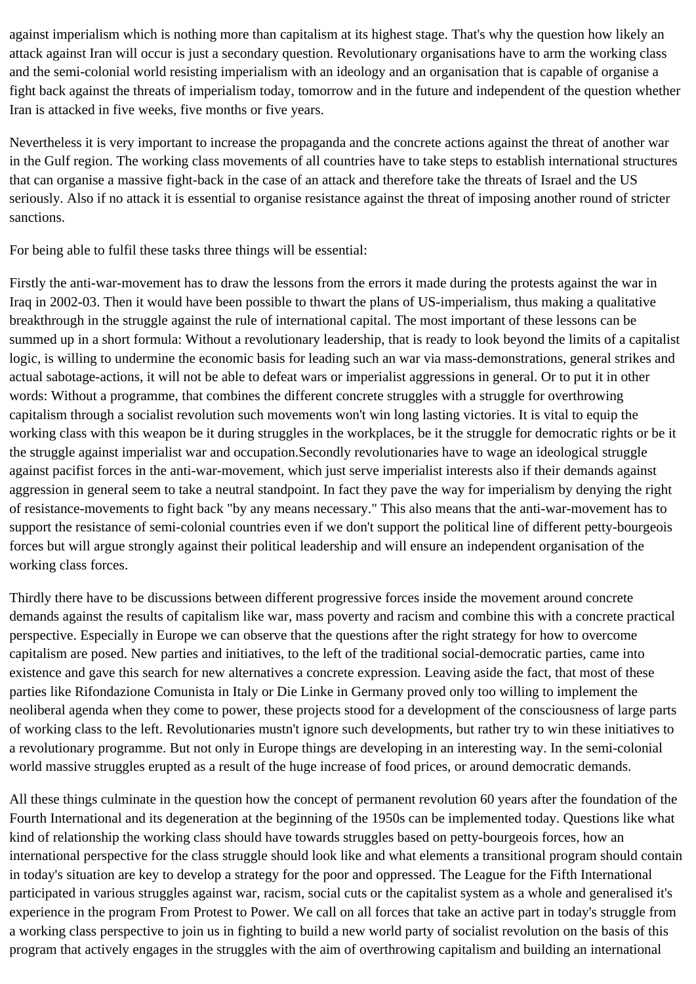against imperialism which is nothing more than capitalism at its highest stage. That's why the question how likely an attack against Iran will occur is just a secondary question. Revolutionary organisations have to arm the working class and the semi-colonial world resisting imperialism with an ideology and an organisation that is capable of organise a fight back against the threats of imperialism today, tomorrow and in the future and independent of the question whether Iran is attacked in five weeks, five months or five years.

Nevertheless it is very important to increase the propaganda and the concrete actions against the threat of another war in the Gulf region. The working class movements of all countries have to take steps to establish international structures that can organise a massive fight-back in the case of an attack and therefore take the threats of Israel and the US seriously. Also if no attack it is essential to organise resistance against the threat of imposing another round of stricter sanctions.

For being able to fulfil these tasks three things will be essential:

Firstly the anti-war-movement has to draw the lessons from the errors it made during the protests against the war in Iraq in 2002-03. Then it would have been possible to thwart the plans of US-imperialism, thus making a qualitative breakthrough in the struggle against the rule of international capital. The most important of these lessons can be summed up in a short formula: Without a revolutionary leadership, that is ready to look beyond the limits of a capitalist logic, is willing to undermine the economic basis for leading such an war via mass-demonstrations, general strikes and actual sabotage-actions, it will not be able to defeat wars or imperialist aggressions in general. Or to put it in other words: Without a programme, that combines the different concrete struggles with a struggle for overthrowing capitalism through a socialist revolution such movements won't win long lasting victories. It is vital to equip the working class with this weapon be it during struggles in the workplaces, be it the struggle for democratic rights or be it the struggle against imperialist war and occupation.Secondly revolutionaries have to wage an ideological struggle against pacifist forces in the anti-war-movement, which just serve imperialist interests also if their demands against aggression in general seem to take a neutral standpoint. In fact they pave the way for imperialism by denying the right of resistance-movements to fight back "by any means necessary." This also means that the anti-war-movement has to support the resistance of semi-colonial countries even if we don't support the political line of different petty-bourgeois forces but will argue strongly against their political leadership and will ensure an independent organisation of the working class forces.

Thirdly there have to be discussions between different progressive forces inside the movement around concrete demands against the results of capitalism like war, mass poverty and racism and combine this with a concrete practical perspective. Especially in Europe we can observe that the questions after the right strategy for how to overcome capitalism are posed. New parties and initiatives, to the left of the traditional social-democratic parties, came into existence and gave this search for new alternatives a concrete expression. Leaving aside the fact, that most of these parties like Rifondazione Comunista in Italy or Die Linke in Germany proved only too willing to implement the neoliberal agenda when they come to power, these projects stood for a development of the consciousness of large parts of working class to the left. Revolutionaries mustn't ignore such developments, but rather try to win these initiatives to a revolutionary programme. But not only in Europe things are developing in an interesting way. In the semi-colonial world massive struggles erupted as a result of the huge increase of food prices, or around democratic demands.

All these things culminate in the question how the concept of permanent revolution 60 years after the foundation of the Fourth International and its degeneration at the beginning of the 1950s can be implemented today. Questions like what kind of relationship the working class should have towards struggles based on petty-bourgeois forces, how an international perspective for the class struggle should look like and what elements a transitional program should contain in today's situation are key to develop a strategy for the poor and oppressed. The League for the Fifth International participated in various struggles against war, racism, social cuts or the capitalist system as a whole and generalised it's experience in the program From Protest to Power. We call on all forces that take an active part in today's struggle from a working class perspective to join us in fighting to build a new world party of socialist revolution on the basis of this program that actively engages in the struggles with the aim of overthrowing capitalism and building an international